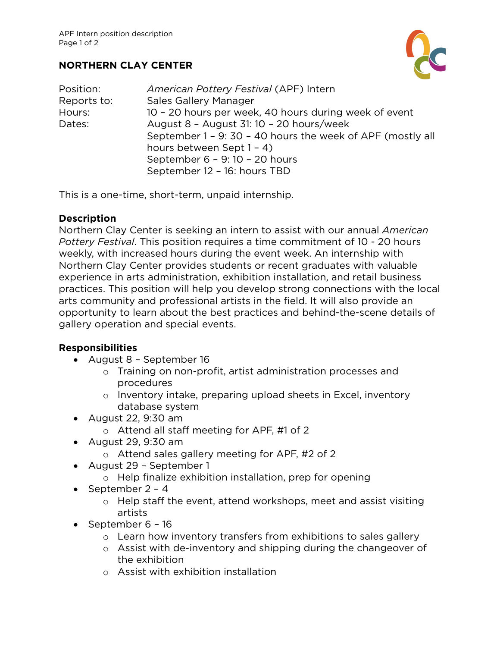# **NORTHERN CLAY CENTER**

| Position:   | American Pottery Festival (APF) Intern                     |
|-------------|------------------------------------------------------------|
| Reports to: | <b>Sales Gallery Manager</b>                               |
| Hours:      | 10 - 20 hours per week, 40 hours during week of event      |
| Dates:      | August 8 - August 31: 10 - 20 hours/week                   |
|             | September 1 - 9: 30 - 40 hours the week of APF (mostly all |
|             | hours between Sept 1 - 4)                                  |
|             | September 6 - 9: 10 - 20 hours                             |
|             | September 12 - 16: hours TBD                               |

This is a one-time, short-term, unpaid internship.

### **Description**

Northern Clay Center is seeking an intern to assist with our annual *American Pottery Festival*. This position requires a time commitment of 10 - 20 hours weekly, with increased hours during the event week. An internship with Northern Clay Center provides students or recent graduates with valuable experience in arts administration, exhibition installation, and retail business practices. This position will help you develop strong connections with the local arts community and professional artists in the field. It will also provide an opportunity to learn about the best practices and behind-the-scene details of gallery operation and special events.

### **Responsibilities**

- August 8 September 16
	- o Training on non-profit, artist administration processes and procedures
	- o Inventory intake, preparing upload sheets in Excel, inventory database system
- August 22, 9:30 am
	- o Attend all staff meeting for APF, #1 of 2
- August 29, 9:30 am
	- o Attend sales gallery meeting for APF, #2 of 2
- August 29 September 1
	- o Help finalize exhibition installation, prep for opening
- September 2 4
	- o Help staff the event, attend workshops, meet and assist visiting artists
- September 6 16
	- o Learn how inventory transfers from exhibitions to sales gallery
	- o Assist with de-inventory and shipping during the changeover of the exhibition
	- o Assist with exhibition installation